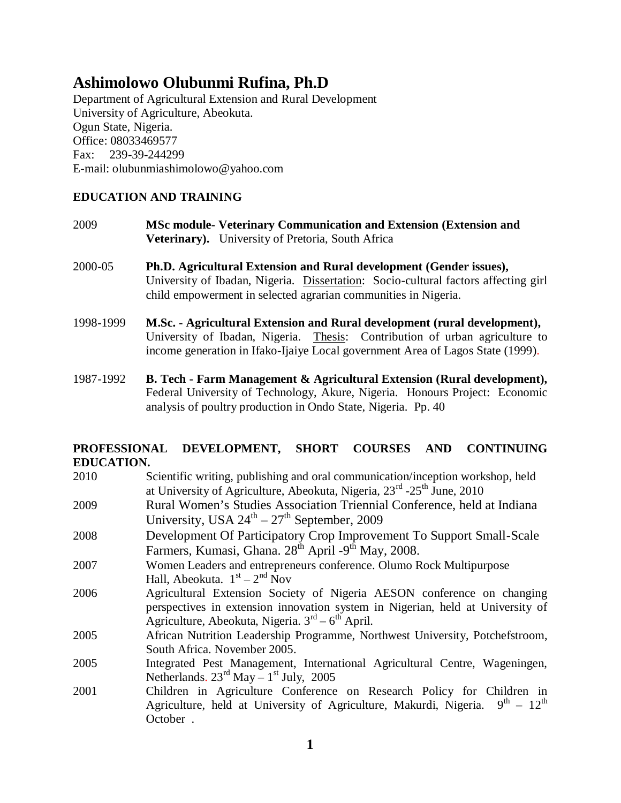# **Ashimolowo Olubunmi Rufina, Ph.D**

Department of Agricultural Extension and Rural Development University of Agriculture, Abeokuta. Ogun State, Nigeria. Office: 08033469577 Fax: 239-39-244299 E-mail: olubunmiashimolowo@yahoo.com

# **EDUCATION AND TRAINING**

- 2009 **MSc module- Veterinary Communication and Extension (Extension and Veterinary).** University of Pretoria, South Africa
- 2000-05 **Ph.D. Agricultural Extension and Rural development (Gender issues),** University of Ibadan, Nigeria. Dissertation: Socio-cultural factors affecting girl child empowerment in selected agrarian communities in Nigeria.
- 1998-1999 **M.Sc. - Agricultural Extension and Rural development (rural development),**  University of Ibadan, Nigeria. Thesis: Contribution of urban agriculture to income generation in Ifako-Ijaiye Local government Area of Lagos State (1999).
- 1987-1992 **B. Tech - Farm Management & Agricultural Extension (Rural development),** Federal University of Technology, Akure, Nigeria. Honours Project: Economic analysis of poultry production in Ondo State, Nigeria. Pp. 40

# **PROFESSIONAL DEVELOPMENT, SHORT COURSES AND CONTINUING EDUCATION.**

- 2010 Scientific writing, publishing and oral communication/inception workshop, held at University of Agriculture, Abeokuta, Nigeria, 23<sup>rd</sup> -25<sup>th</sup> June, 2010
- 2009 Rural Women's Studies Association Triennial Conference, held at Indiana University, USA  $24^{\text{th}} - 27^{\text{th}}$  September, 2009
- 2008 Development Of Participatory Crop Improvement To Support Small-Scale Farmers, Kumasi, Ghana. 28<sup>th</sup> April -9<sup>th</sup> May, 2008.
- 2007 Women Leaders and entrepreneurs conference. Olumo Rock Multipurpose Hall, Abeokuta.  $1<sup>st</sup> - 2<sup>nd</sup> Nov$
- 2006 Agricultural Extension Society of Nigeria AESON conference on changing perspectives in extension innovation system in Nigerian, held at University of Agriculture, Abeokuta, Nigeria. 3<sup>rd</sup> – 6<sup>th</sup> April.
- 2005 African Nutrition Leadership Programme, Northwest University, Potchefstroom, South Africa. November 2005.
- 2005 Integrated Pest Management, International Agricultural Centre, Wageningen, Netherlands.  $23^{\text{rd}}$  May  $-1^{\text{st}}$  July, 2005
- 2001 Children in Agriculture Conference on Research Policy for Children in Agriculture, held at University of Agriculture, Makurdi, Nigeria.  $9^{th} - 12^{th}$ October .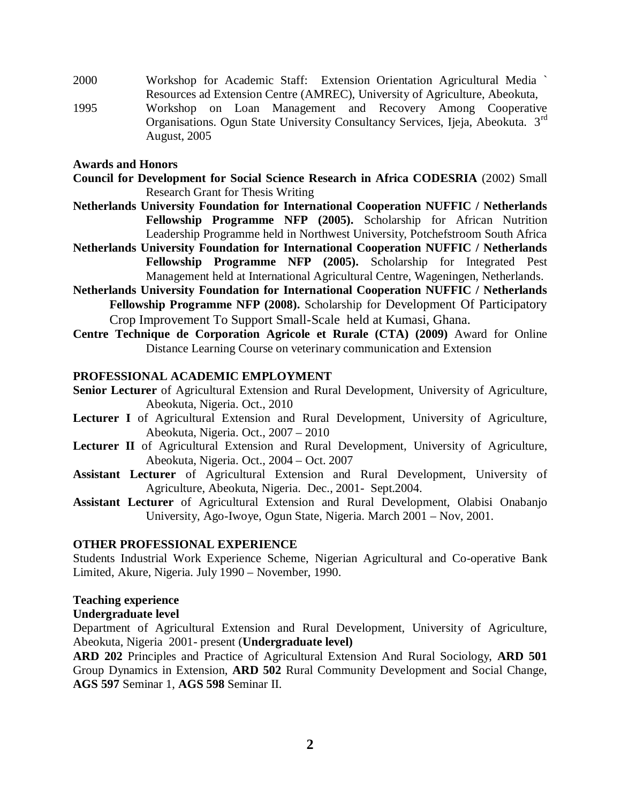- 2000 Workshop for Academic Staff: Extension Orientation Agricultural Media ` Resources ad Extension Centre (AMREC), University of Agriculture, Abeokuta,
- 1995 Workshop on Loan Management and Recovery Among Cooperative Organisations. Ogun State University Consultancy Services, Ijeja, Abeokuta. 3rd August, 2005

#### **Awards and Honors**

- **Council for Development for Social Science Research in Africa CODESRIA** (2002) Small Research Grant for Thesis Writing
- **Netherlands University Foundation for International Cooperation NUFFIC / Netherlands Fellowship Programme NFP (2005).** Scholarship for African Nutrition Leadership Programme held in Northwest University, Potchefstroom South Africa
- **Netherlands University Foundation for International Cooperation NUFFIC / Netherlands Fellowship Programme NFP (2005).** Scholarship for Integrated Pest Management held at International Agricultural Centre, Wageningen, Netherlands.
- **Netherlands University Foundation for International Cooperation NUFFIC / Netherlands Fellowship Programme NFP (2008).** Scholarship for Development Of Participatory Crop Improvement To Support Small-Scale held at Kumasi, Ghana.
- **Centre Technique de Corporation Agricole et Rurale (CTA) (2009)** Award for Online Distance Learning Course on veterinary communication and Extension

#### **PROFESSIONAL ACADEMIC EMPLOYMENT**

- **Senior Lecturer** of Agricultural Extension and Rural Development, University of Agriculture, Abeokuta, Nigeria. Oct., 2010
- **Lecturer I** of Agricultural Extension and Rural Development, University of Agriculture, Abeokuta, Nigeria. Oct., 2007 – 2010
- **Lecturer II** of Agricultural Extension and Rural Development, University of Agriculture, Abeokuta, Nigeria. Oct., 2004 – Oct. 2007
- **Assistant Lecturer** of Agricultural Extension and Rural Development, University of Agriculture, Abeokuta, Nigeria. Dec., 2001- Sept.2004.
- **Assistant Lecturer** of Agricultural Extension and Rural Development, Olabisi Onabanjo University, Ago-Iwoye, Ogun State, Nigeria. March 2001 – Nov, 2001.

#### **OTHER PROFESSIONAL EXPERIENCE**

Students Industrial Work Experience Scheme, Nigerian Agricultural and Co-operative Bank Limited, Akure, Nigeria. July 1990 – November, 1990.

#### **Teaching experience**

#### **Undergraduate level**

Department of Agricultural Extension and Rural Development, University of Agriculture, Abeokuta, Nigeria 2001- present (**Undergraduate level)**

**ARD 202** Principles and Practice of Agricultural Extension And Rural Sociology, **ARD 501** Group Dynamics in Extension, **ARD 502** Rural Community Development and Social Change, **AGS 597** Seminar 1, **AGS 598** Seminar II.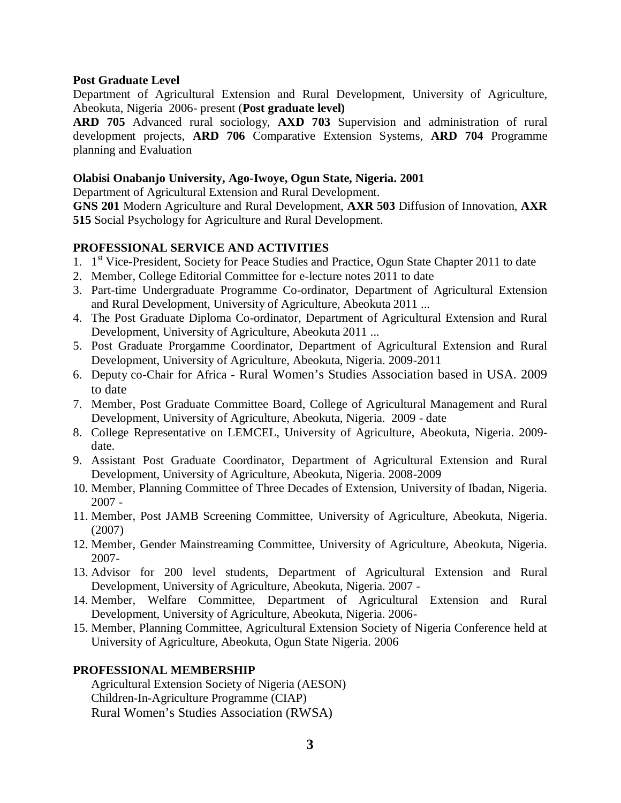#### **Post Graduate Level**

Department of Agricultural Extension and Rural Development, University of Agriculture, Abeokuta, Nigeria 2006- present (**Post graduate level)**

**ARD 705** Advanced rural sociology, **AXD 703** Supervision and administration of rural development projects, **ARD 706** Comparative Extension Systems, **ARD 704** Programme planning and Evaluation

## **Olabisi Onabanjo University, Ago-Iwoye, Ogun State, Nigeria. 2001**

Department of Agricultural Extension and Rural Development.

**GNS 201** Modern Agriculture and Rural Development, **AXR 503** Diffusion of Innovation, **AXR 515** Social Psychology for Agriculture and Rural Development.

# **PROFESSIONAL SERVICE AND ACTIVITIES**

- 1. 1<sup>st</sup> Vice-President, Society for Peace Studies and Practice, Ogun State Chapter 2011 to date
- 2. Member, College Editorial Committee for e-lecture notes 2011 to date
- 3. Part-time Undergraduate Programme Co-ordinator, Department of Agricultural Extension and Rural Development, University of Agriculture, Abeokuta 2011 ...
- 4. The Post Graduate Diploma Co-ordinator, Department of Agricultural Extension and Rural Development, University of Agriculture, Abeokuta 2011 ...
- 5. Post Graduate Prorgamme Coordinator, Department of Agricultural Extension and Rural Development, University of Agriculture, Abeokuta, Nigeria. 2009-2011
- 6. Deputy co-Chair for Africa Rural Women's Studies Association based in USA. 2009 to date
- 7. Member, Post Graduate Committee Board, College of Agricultural Management and Rural Development, University of Agriculture, Abeokuta, Nigeria. 2009 - date
- 8. College Representative on LEMCEL, University of Agriculture, Abeokuta, Nigeria. 2009 date.
- 9. Assistant Post Graduate Coordinator, Department of Agricultural Extension and Rural Development, University of Agriculture, Abeokuta, Nigeria. 2008-2009
- 10. Member, Planning Committee of Three Decades of Extension, University of Ibadan, Nigeria. 2007 -
- 11. Member, Post JAMB Screening Committee, University of Agriculture, Abeokuta, Nigeria. (2007)
- 12. Member, Gender Mainstreaming Committee, University of Agriculture, Abeokuta, Nigeria. 2007-
- 13. Advisor for 200 level students, Department of Agricultural Extension and Rural Development, University of Agriculture, Abeokuta, Nigeria. 2007 -
- 14. Member, Welfare Committee, Department of Agricultural Extension and Rural Development, University of Agriculture, Abeokuta, Nigeria. 2006-
- 15. Member, Planning Committee, Agricultural Extension Society of Nigeria Conference held at University of Agriculture, Abeokuta, Ogun State Nigeria. 2006

## **PROFESSIONAL MEMBERSHIP**

Agricultural Extension Society of Nigeria (AESON) Children-In-Agriculture Programme (CIAP) Rural Women's Studies Association (RWSA)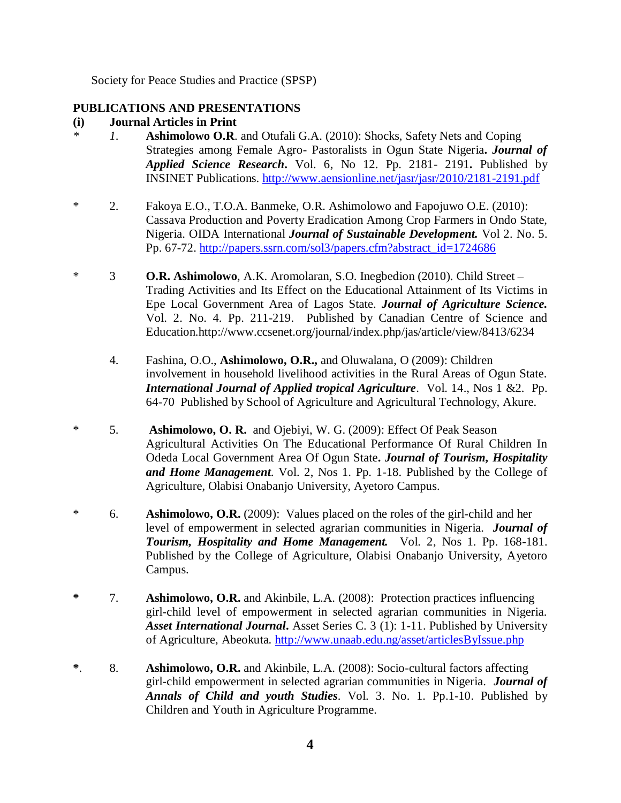Society for Peace Studies and Practice (SPSP)

# **PUBLICATIONS AND PRESENTATIONS**

# **(i) Journal Articles in Print**

- *\* 1*. **Ashimolowo O.R**. and Otufali G.A. (2010): Shocks, Safety Nets and Coping Strategies among Female Agro- Pastoralists in Ogun State Nigeria**.** *Journal of Applied Science Research***.** Vol. 6, No 12. Pp. 2181- 2191**.** Published by INSINET Publications. http://www.aensionline.net/jasr/jasr/2010/2181-2191.pdf
- \* 2. Fakoya E.O., T.O.A. Banmeke, O.R. Ashimolowo and Fapojuwo O.E. (2010): Cassava Production and Poverty Eradication Among Crop Farmers in Ondo State, Nigeria. OIDA International *Journal of Sustainable Development.* Vol 2. No. 5. Pp. 67-72. http://papers.ssrn.com/sol3/papers.cfm?abstract\_id=1724686
- \* 3 **O.R. Ashimolowo**, A.K. Aromolaran, S.O. Inegbedion (2010). Child Street Trading Activities and Its Effect on the Educational Attainment of Its Victims in Epe Local Government Area of Lagos State. *Journal of Agriculture Science.* Vol. 2. No. 4. Pp. 211-219. Published by Canadian Centre of Science and Education.http://www.ccsenet.org/journal/index.php/jas/article/view/8413/6234
	- 4. Fashina, O.O., **Ashimolowo, O.R.,** and Oluwalana, O (2009): Children involvement in household livelihood activities in the Rural Areas of Ogun State. *International Journal of Applied tropical Agriculture*. Vol. 14., Nos 1 &2. Pp. 64-70 Published by School of Agriculture and Agricultural Technology, Akure.
- \* 5. **Ashimolowo, O. R.** and Ojebiyi, W. G. (2009): Effect Of Peak Season Agricultural Activities On The Educational Performance Of Rural Children In Odeda Local Government Area Of Ogun State**.** *Journal of Tourism, Hospitality and Home Management*. Vol. 2, Nos 1. Pp. 1-18. Published by the College of Agriculture, Olabisi Onabanjo University, Ayetoro Campus.
- \* 6. **Ashimolowo, O.R.** (2009): Values placed on the roles of the girl-child and her level of empowerment in selected agrarian communities in Nigeria. *Journal of Tourism, Hospitality and Home Management.* Vol. 2, Nos 1. Pp. 168-181. Published by the College of Agriculture, Olabisi Onabanjo University, Ayetoro Campus.
- **\*** 7. **Ashimolowo, O.R.** and Akinbile, L.A. (2008): Protection practices influencing girl-child level of empowerment in selected agrarian communities in Nigeria. *Asset International Journal***.** Asset Series C. 3 (1): 1-11. Published by University of Agriculture, Abeokuta. http://www.unaab.edu.ng/asset/articlesByIssue.php
- **\***. 8. **Ashimolowo, O.R.** and Akinbile, L.A. (2008): Socio-cultural factors affecting girl-child empowerment in selected agrarian communities in Nigeria. *Journal of Annals of Child and youth Studies*. Vol. 3. No. 1. Pp.1-10. Published by Children and Youth in Agriculture Programme.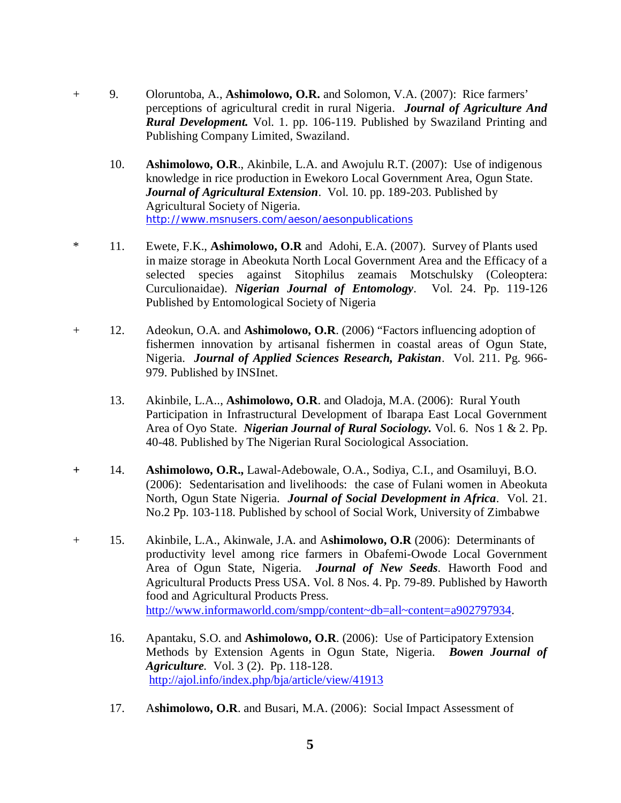- + 9. Oloruntoba, A., **Ashimolowo, O.R.** and Solomon, V.A. (2007): Rice farmers' perceptions of agricultural credit in rural Nigeria. *Journal of Agriculture And Rural Development.* Vol. 1. pp. 106-119. Published by Swaziland Printing and Publishing Company Limited, Swaziland.
	- 10. **Ashimolowo, O.R**., Akinbile, L.A. and Awojulu R.T. (2007): Use of indigenous knowledge in rice production in Ewekoro Local Government Area, Ogun State. *Journal of Agricultural Extension*. Vol. 10. pp. 189-203. Published by Agricultural Society of Nigeria. http://www.msnusers.com/aeson/aesonpublications
- \* 11. Ewete, F.K., **Ashimolowo, O.R** and Adohi, E.A. (2007). Survey of Plants used in maize storage in Abeokuta North Local Government Area and the Efficacy of a selected species against Sitophilus zeamais Motschulsky (Coleoptera: Curculionaidae). *Nigerian Journal of Entomology*. Vol. 24. Pp. 119-126 Published by Entomological Society of Nigeria
- + 12. Adeokun, O.A. and **Ashimolowo, O.R**. (2006) "Factors influencing adoption of fishermen innovation by artisanal fishermen in coastal areas of Ogun State, Nigeria. *Journal of Applied Sciences Research, Pakistan*. Vol. 211. Pg. 966- 979. Published by INSInet.
	- 13. Akinbile, L.A.., **Ashimolowo, O.R**. and Oladoja, M.A. (2006): Rural Youth Participation in Infrastructural Development of Ibarapa East Local Government Area of Oyo State. *Nigerian Journal of Rural Sociology.* Vol. 6. Nos 1 & 2. Pp. 40-48. Published by The Nigerian Rural Sociological Association.
- **+** 14. **Ashimolowo, O.R.,** Lawal-Adebowale, O.A., Sodiya, C.I., and Osamiluyi, B.O. (2006): Sedentarisation and livelihoods: the case of Fulani women in Abeokuta North, Ogun State Nigeria. *Journal of Social Development in Africa*. Vol. 21. No.2 Pp. 103-118. Published by school of Social Work, University of Zimbabwe
- + 15. Akinbile, L.A., Akinwale, J.A. and A**shimolowo, O.R** (2006): Determinants of productivity level among rice farmers in Obafemi-Owode Local Government Area of Ogun State, Nigeria. *Journal of New Seeds*. Haworth Food and Agricultural Products Press USA. Vol. 8 Nos. 4. Pp. 79-89. Published by Haworth food and Agricultural Products Press. http://www.informaworld.com/smpp/content~db=all~content=a902797934.
	- 16. Apantaku, S.O. and **Ashimolowo, O.R**. (2006): Use of Participatory Extension Methods by Extension Agents in Ogun State, Nigeria. *Bowen Journal of Agriculture.* Vol. 3 (2). Pp. 118-128. http://ajol.info/index.php/bja/article/view/41913
	- 17. A**shimolowo, O.R**. and Busari, M.A. (2006): Social Impact Assessment of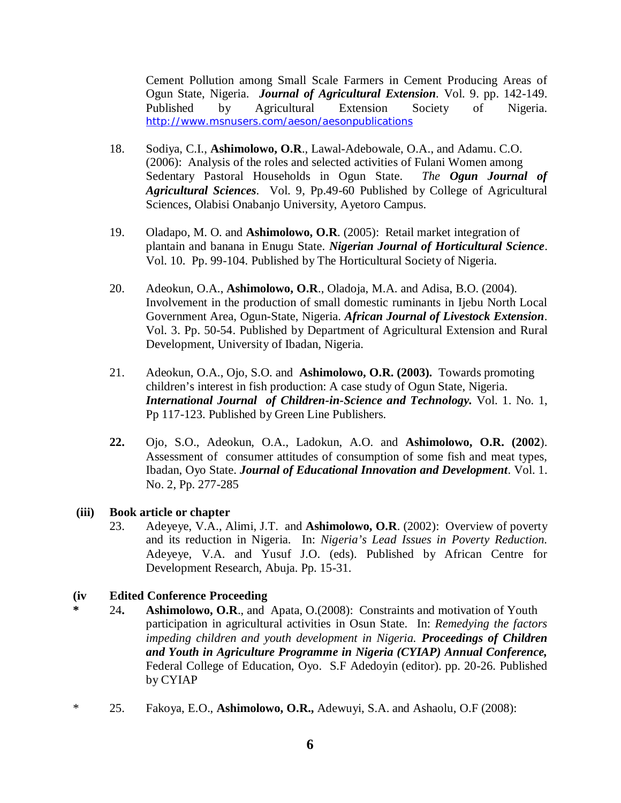Cement Pollution among Small Scale Farmers in Cement Producing Areas of Ogun State, Nigeria. *Journal of Agricultural Extension.* Vol. 9. pp. 142-149. Published by Agricultural Extension Society of Nigeria. http://www.msnusers.com/aeson/aesonpublications

- 18. Sodiya, C.I., **Ashimolowo, O.R**., Lawal-Adebowale, O.A., and Adamu. C.O. (2006): Analysis of the roles and selected activities of Fulani Women among Sedentary Pastoral Households in Ogun State. *The Ogun Journal of Agricultural Sciences*. Vol. 9, Pp.49-60 Published by College of Agricultural Sciences, Olabisi Onabanjo University, Ayetoro Campus.
- 19. Oladapo, M. O. and **Ashimolowo, O.R**. (2005): Retail market integration of plantain and banana in Enugu State. *Nigerian Journal of Horticultural Science*. Vol. 10. Pp. 99-104. Published by The Horticultural Society of Nigeria.
- 20. Adeokun, O.A., **Ashimolowo, O.R**., Oladoja, M.A. and Adisa, B.O. (2004). Involvement in the production of small domestic ruminants in Ijebu North Local Government Area, Ogun-State, Nigeria. *African Journal of Livestock Extension*. Vol. 3. Pp. 50-54. Published by Department of Agricultural Extension and Rural Development, University of Ibadan, Nigeria.
- 21. Adeokun, O.A., Ojo, S.O. and **Ashimolowo, O.R. (2003).** Towards promoting children's interest in fish production: A case study of Ogun State, Nigeria. *International Journal of Children-in-Science and Technology.* Vol. 1. No. 1, Pp 117-123. Published by Green Line Publishers.
- **22.** Ojo, S.O., Adeokun, O.A., Ladokun, A.O. and **Ashimolowo, O.R. (2002**). Assessment of consumer attitudes of consumption of some fish and meat types, Ibadan, Oyo State. *Journal of Educational Innovation and Development*. Vol. 1. No. 2, Pp. 277-285

## **(iii) Book article or chapter**

23. Adeyeye, V.A., Alimi, J.T. and **Ashimolowo, O.R**. (2002): Overview of poverty and its reduction in Nigeria. In: *Nigeria's Lead Issues in Poverty Reduction.* Adeyeye, V.A. and Yusuf J.O. (eds). Published by African Centre for Development Research, Abuja. Pp. 15-31.

## **(iv Edited Conference Proceeding**

- **\*** 24**. Ashimolowo, O.R**., and Apata, O.(2008): Constraints and motivation of Youth participation in agricultural activities in Osun State. In: *Remedying the factors impeding children and youth development in Nigeria. Proceedings of Children and Youth in Agriculture Programme in Nigeria (CYIAP) Annual Conference,* Federal College of Education, Oyo. S.F Adedoyin (editor). pp. 20-26. Published by CYIAP
- \* 25. Fakoya, E.O., **Ashimolowo, O.R.,** Adewuyi, S.A. and Ashaolu, O.F (2008):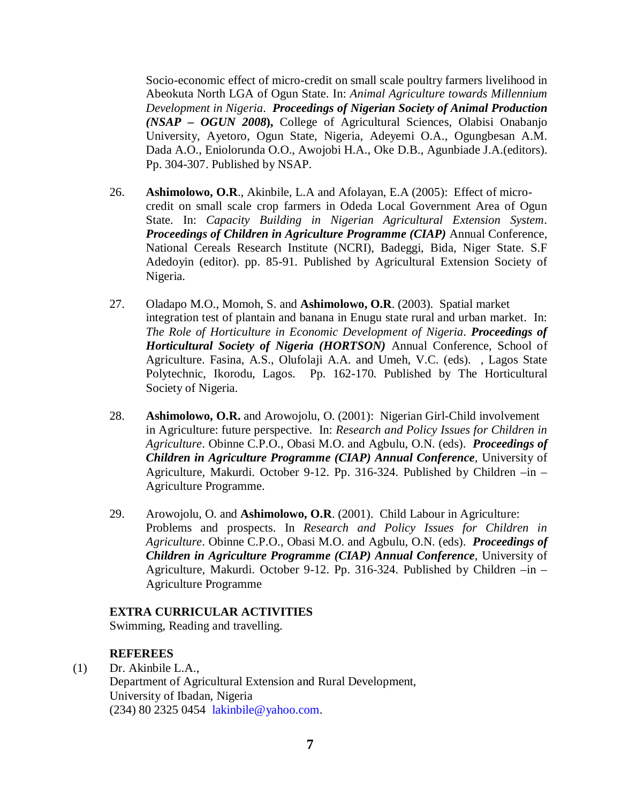Socio-economic effect of micro-credit on small scale poultry farmers livelihood in Abeokuta North LGA of Ogun State. In: *Animal Agriculture towards Millennium Development in Nigeria*. *Proceedings of Nigerian Society of Animal Production (NSAP – OGUN 2008***),** College of Agricultural Sciences, Olabisi Onabanjo University, Ayetoro, Ogun State, Nigeria, Adeyemi O.A., Ogungbesan A.M. Dada A.O., Eniolorunda O.O., Awojobi H.A., Oke D.B., Agunbiade J.A.(editors). Pp. 304-307. Published by NSAP.

- 26. **Ashimolowo, O.R**., Akinbile, L.A and Afolayan, E.A (2005): Effect of microcredit on small scale crop farmers in Odeda Local Government Area of Ogun State. In: *Capacity Building in Nigerian Agricultural Extension System*. *Proceedings of Children in Agriculture Programme (CIAP)* Annual Conference, National Cereals Research Institute (NCRI), Badeggi, Bida, Niger State. S.F Adedoyin (editor). pp. 85-91. Published by Agricultural Extension Society of Nigeria.
- 27. Oladapo M.O., Momoh, S. and **Ashimolowo, O.R**. (2003). Spatial market integration test of plantain and banana in Enugu state rural and urban market. In: *The Role of Horticulture in Economic Development of Nigeria*. *Proceedings of Horticultural Society of Nigeria (HORTSON)* Annual Conference, School of Agriculture. Fasina, A.S., Olufolaji A.A. and Umeh, V.C. (eds). , Lagos State Polytechnic, Ikorodu, Lagos. Pp. 162-170. Published by The Horticultural Society of Nigeria.
- 28. **Ashimolowo, O.R.** and Arowojolu, O. (2001): Nigerian Girl-Child involvement in Agriculture: future perspective. In: *Research and Policy Issues for Children in Agriculture*. Obinne C.P.O., Obasi M.O. and Agbulu, O.N. (eds). *Proceedings of Children in Agriculture Programme (CIAP) Annual Conference*, University of Agriculture, Makurdi. October 9-12. Pp. 316-324. Published by Children –in – Agriculture Programme.
- 29. Arowojolu, O. and **Ashimolowo, O.R**. (2001). Child Labour in Agriculture: Problems and prospects. In *Research and Policy Issues for Children in Agriculture*. Obinne C.P.O., Obasi M.O. and Agbulu, O.N. (eds). *Proceedings of Children in Agriculture Programme (CIAP) Annual Conference*, University of Agriculture, Makurdi. October 9-12. Pp. 316-324. Published by Children –in – Agriculture Programme

#### **EXTRA CURRICULAR ACTIVITIES**

Swimming, Reading and travelling.

## **REFEREES**

(1) Dr. Akinbile L.A., Department of Agricultural Extension and Rural Development, University of Ibadan, Nigeria (234) 80 2325 0454 lakinbile@yahoo.com.